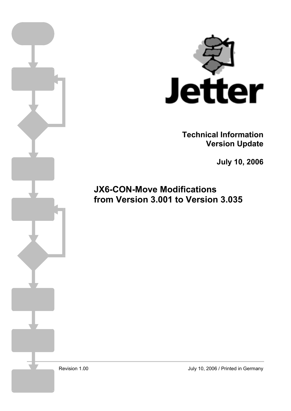

**Technical Information Version Update** 

**July 10, 2006** 

**JX6-CON-Move Modifications from Version 3.001 to Version 3.035**

Revision 1.00

July 10, 2006 / Printed in Germany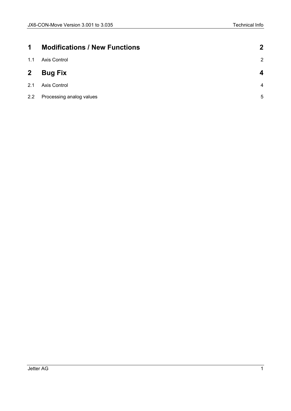| $\mathbf 1$  | <b>Modifications / New Functions</b> | $\boldsymbol{c}$ |
|--------------|--------------------------------------|------------------|
| 1.1          | Axis Control                         | $\overline{2}$   |
| $\mathbf{2}$ | <b>Bug Fix</b>                       | Δ                |
| 2.1          | Axis Control                         | $\overline{4}$   |
| 2.2          | Processing analog values             | 5                |
|              |                                      |                  |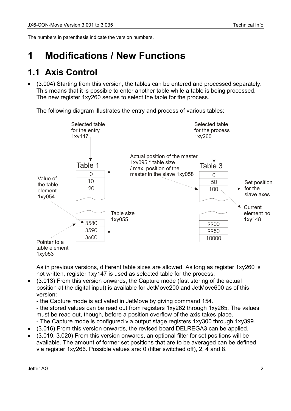<span id="page-2-0"></span>The numbers in parenthesis indicate the version numbers.

## **1 Modifications / New Functions**

#### **1.1 Axis Control**

• (3.004) Starting from this version, the tables can be entered and processed separately. This means that it is possible to enter another table while a table is being processed. The new register 1xy260 serves to select the table for the process.

The following diagram illustrates the entry and process of various tables:



As in previous versions, different table sizes are allowed. As long as register 1xy260 is not written, register 1xy147 is used as selected table for the process.

• (3.013) From this version onwards, the Capture mode (fast storing of the actual position at the digital input) is available for JetMove200 and JetMove600 as of this version:

- the Capture mode is activated in JetMove by giving command 154.

- the stored values can be read out from registers 1xy262 through 1xy265. The values must be read out, though, before a position overflow of the axis takes place.

- The Capture mode is configured via output stage registers 1xy300 through 1xy399.
- (3.016) From this version onwards, the revised board DELREGA3 can be applied.
- (3.019, 3.020) From this version onwards, an optional filter for set positions will be available. The amount of former set positions that are to be averaged can be defined via register 1xy266. Possible values are: 0 (filter switched off), 2, 4 and 8.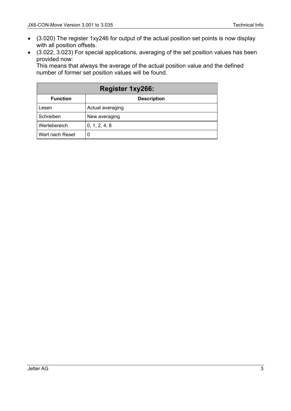- (3.020) The register 1xy246 for output of the actual position set points is now display with all position offsets.
- (3.022, 3.023) For special applications, averaging of the set position values has been provided now:

This means that always the average of the actual position value and the defined number of former set position values will be found.

| <b>Register 1xy266:</b> |                    |  |  |
|-------------------------|--------------------|--|--|
| <b>Function</b>         | <b>Description</b> |  |  |
| Lesen                   | Actual averaging   |  |  |
| Schreiben               | New averaging      |  |  |
| Wertebereich            | 0, 1, 2, 4, 8      |  |  |
| Wert nach Reset         | 0                  |  |  |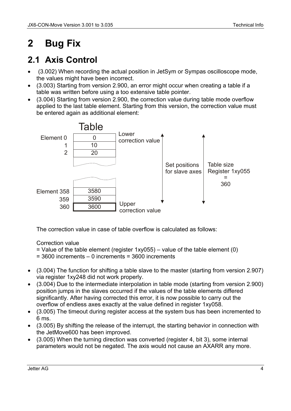# <span id="page-4-0"></span>**2 Bug Fix**

### **2.1 Axis Control**

- (3.002) When recording the actual position in JetSym or Sympas oscilloscope mode, the values might have been incorrect.
- (3.003) Starting from version 2.900, an error might occur when creating a table if a table was written before using a too extensive table pointer.
- (3.004) Starting from version 2.900, the correction value during table mode overflow applied to the last table element. Starting from this version, the correction value must be entered again as additional element:



The correction value in case of table overflow is calculated as follows:

Correction value

- $=$  Value of the table element (register 1xy055) value of the table element (0)
- = 3600 increments 0 increments = 3600 increments
- (3.004) The function for shifting a table slave to the master (starting from version 2.907) via register 1xy248 did not work properly.
- (3.004) Due to the intermediate interpolation in table mode (starting from version 2.900) position jumps in the slaves occurred if the values of the table elements differed significantly. After having corrected this error, it is now possible to carry out the overflow of endless axes exactly at the value defined in register 1xy058.
- (3.005) The timeout during register access at the system bus has been incremented to 6 ms.
- (3.005) By shifting the release of the interrupt, the starting behavior in connection with the JetMove600 has been improved.
- (3.005) When the turning direction was converted (register 4, bit 3), some internal parameters would not be negated. The axis would not cause an AXARR any more.